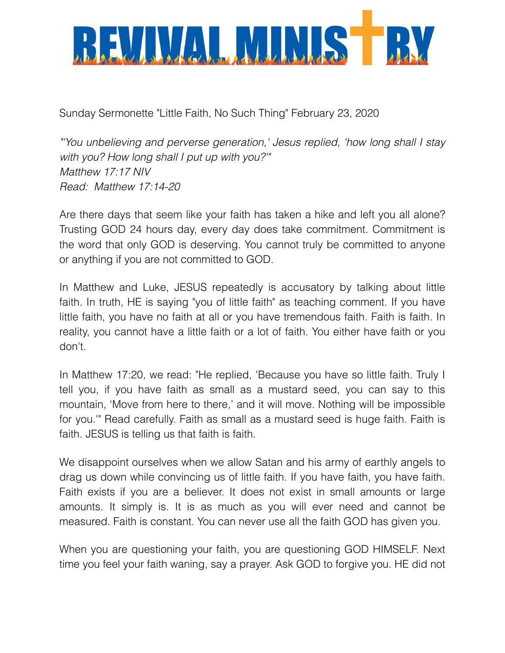

Sunday Sermonette "Little Faith, No Such Thing" February 23, 2020

*"'You unbelieving and perverse generation,' Jesus replied, 'how long shall I stay with you? How long shall I put up with you?'" Matthew 17:17 NIV Read: Matthew 17:14-20*

Are there days that seem like your faith has taken a hike and left you all alone? Trusting GOD 24 hours day, every day does take commitment. Commitment is the word that only GOD is deserving. You cannot truly be committed to anyone or anything if you are not committed to GOD.

In Matthew and Luke, JESUS repeatedly is accusatory by talking about little faith. In truth, HE is saying "you of little faith" as teaching comment. If you have little faith, you have no faith at all or you have tremendous faith. Faith is faith. In reality, you cannot have a little faith or a lot of faith. You either have faith or you don't.

In Matthew 17:20, we read: "He replied, 'Because you have so little faith. Truly I tell you, if you have faith as small as a mustard seed, you can say to this mountain, 'Move from here to there,' and it will move. Nothing will be impossible for you.'" Read carefully. Faith as small as a mustard seed is huge faith. Faith is faith. JESUS is telling us that faith is faith.

We disappoint ourselves when we allow Satan and his army of earthly angels to drag us down while convincing us of little faith. If you have faith, you have faith. Faith exists if you are a believer. It does not exist in small amounts or large amounts. It simply is. It is as much as you will ever need and cannot be measured. Faith is constant. You can never use all the faith GOD has given you.

When you are questioning your faith, you are questioning GOD HIMSELF. Next time you feel your faith waning, say a prayer. Ask GOD to forgive you. HE did not